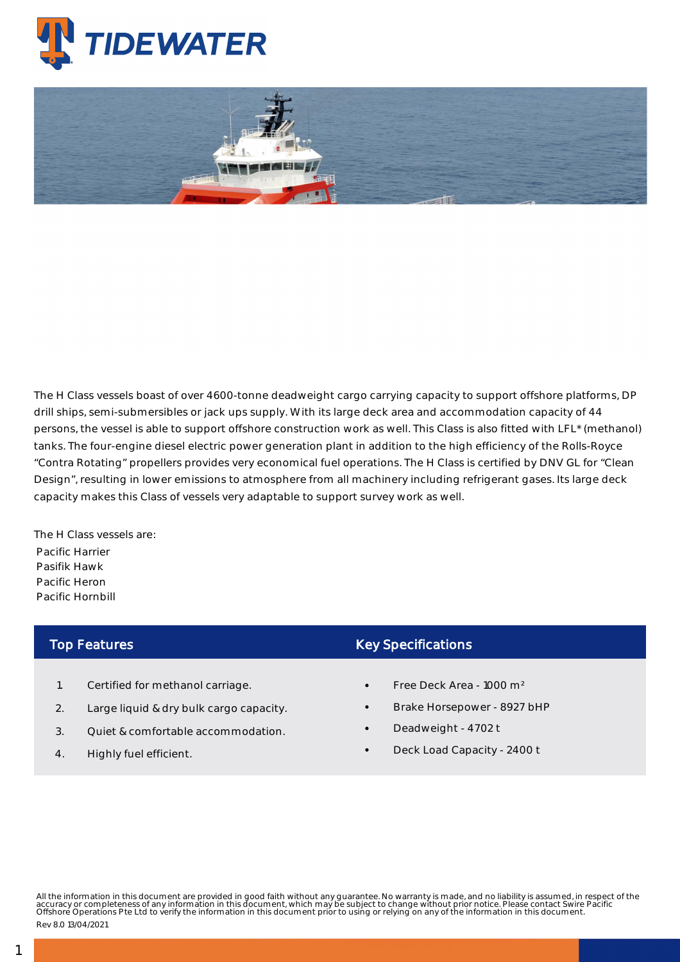

## Platform Supply Vessels - Pacific Hornbill

The H Class vessels boast of over 4600-tonne deadweight cargo carrying capacity to support offshore platforms, DP drill ships, semi-submersibles or jack ups supply. With its large deck area and accommodation capacity of 44 persons, the vessel is able to support offshore construction work as well. This Class is also fitted with LFL\* (methanol) tanks. The four-engine diesel electric power generation plant in addition to the high efficiency of the Rolls-Royce "Contra Rotating" propellers provides very economical fuel operations. The H Class is certified by DNV GL for "Clean Design", resulting in lower emissions to atmosphere from all machinery including refrigerant gases. Its large deck capacity makes this Class of vessels very adaptable to support survey work as well.

The H Class vessels are: Pacific Harrier Pasifik Hawk Pacific Heron Pacific Hornbill

## Top Features

- 1. Certified for methanol carriage.
- 2. Large liquid & dry bulk cargo capacity.
- 3. Quiet & comfortable accommodation.
- 4. Highly fuel efficient.

## Key Specifications

- Free Deck Area 1000 m²
- Brake Horsepower 8927 bHP
- Deadweight 4702 t
- Deck Load Capacity 2400 t

All the information in this document are provided in good faith without any guarantee. No warranty is made, and no liability is assumed, in respect of the<br>accuracy or completeness of any information in this document, which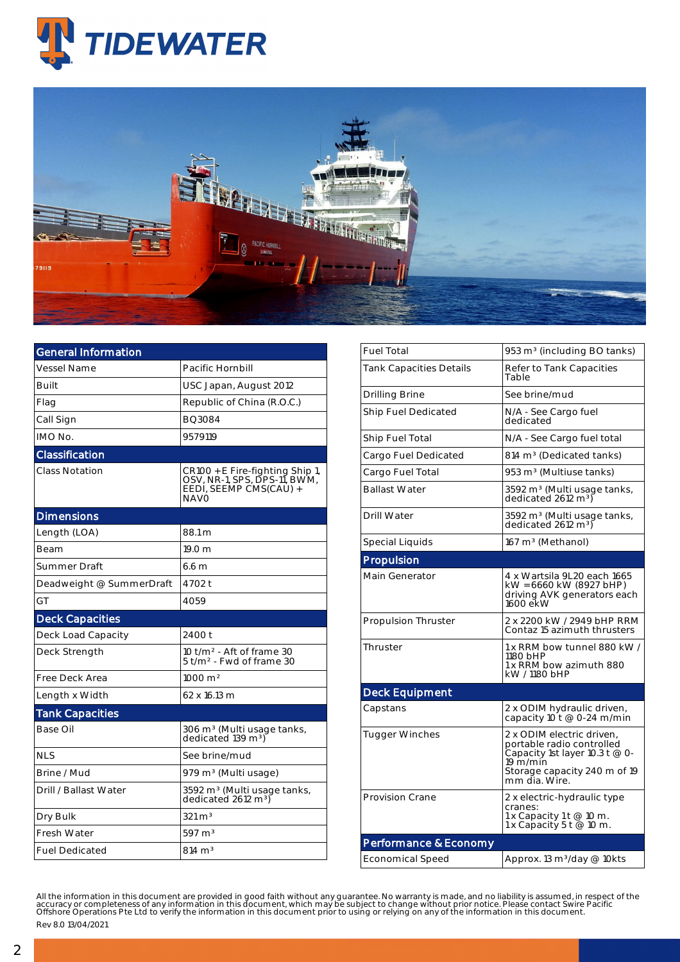



| <b>General Information</b> |                                                                                                   |  |  |  |  |
|----------------------------|---------------------------------------------------------------------------------------------------|--|--|--|--|
| <b>Vessel Name</b>         | Pacific Hornbill                                                                                  |  |  |  |  |
| <b>Built</b>               | USC Japan, August 2012                                                                            |  |  |  |  |
| Flag                       | Republic of China (R.O.C.)                                                                        |  |  |  |  |
| Call Sign                  | BO3084                                                                                            |  |  |  |  |
| IMO No.                    | 9579119                                                                                           |  |  |  |  |
| <b>Classification</b>      |                                                                                                   |  |  |  |  |
| Class Notation             | CR100 + E Fire-fighting Ship 1,<br>OSV, NR-1, SPS, DPS-11, BWM,<br>EEDI, SEEMP CMS(CAU) +<br>NAVO |  |  |  |  |
| <b>Dimensions</b>          |                                                                                                   |  |  |  |  |
| Length (LOA)               | 88.1 m                                                                                            |  |  |  |  |
| Beam                       | 19.0 <sub>m</sub>                                                                                 |  |  |  |  |
| <b>Summer Draft</b>        | 6.6 <sub>m</sub>                                                                                  |  |  |  |  |
| Deadweight @ SummerDraft   | 4702 t                                                                                            |  |  |  |  |
| GT                         | 4059                                                                                              |  |  |  |  |
| <b>Deck Capacities</b>     |                                                                                                   |  |  |  |  |
| Deck Load Capacity         | 2400 t                                                                                            |  |  |  |  |
| Deck Strength              | 10 t/m <sup>2</sup> - Aft of frame 30<br>5 t/m <sup>2</sup> - Fwd of frame 30                     |  |  |  |  |
| Free Deck Area             | $1000 \text{ m}^2$                                                                                |  |  |  |  |
| Length x Width             | 62 x 16.13 m                                                                                      |  |  |  |  |
| <b>Tank Capacities</b>     |                                                                                                   |  |  |  |  |
| Base Oil                   | 306 m <sup>3</sup> (Multi usage tanks,<br>dedicated 139 m <sup>3</sup> )                          |  |  |  |  |
| <b>NLS</b>                 | See brine/mud                                                                                     |  |  |  |  |
| Brine / Mud                | 979 m <sup>3</sup> (Multi usage)                                                                  |  |  |  |  |
| Drill / Ballast Water      | 3592 m <sup>3</sup> (Multi usage tanks,<br>dedicated 2612 m <sup>3</sup> )                        |  |  |  |  |
| Dry Bulk                   | $321 \text{ m}^3$                                                                                 |  |  |  |  |
| <b>Fresh Water</b>         | 597 m <sup>3</sup>                                                                                |  |  |  |  |
| <b>Fuel Dedicated</b>      | $814 \text{ m}^3$                                                                                 |  |  |  |  |

| <b>Fuel Total</b>              | 953 m <sup>3</sup> (including BO tanks)                                                                                                                  |  |  |  |  |
|--------------------------------|----------------------------------------------------------------------------------------------------------------------------------------------------------|--|--|--|--|
| <b>Tank Capacities Details</b> | Refer to Tank Capacities<br>Table                                                                                                                        |  |  |  |  |
| <b>Drilling Brine</b>          | See brine/mud                                                                                                                                            |  |  |  |  |
| Ship Fuel Dedicated            | N/A - See Cargo fuel<br>dedicated                                                                                                                        |  |  |  |  |
| Ship Fuel Total                | N/A - See Cargo fuel total                                                                                                                               |  |  |  |  |
| Cargo Fuel Dedicated           | 814 m <sup>3</sup> (Dedicated tanks)                                                                                                                     |  |  |  |  |
| Cargo Fuel Total               | 953 m <sup>3</sup> (Multiuse tanks)                                                                                                                      |  |  |  |  |
| <b>Ballast Water</b>           | 3592 m <sup>3</sup> (Multi usage tanks,<br>dedicated 2612 m <sup>3</sup> )                                                                               |  |  |  |  |
| <b>Drill Water</b>             | 3592 m <sup>3</sup> (Multi usage tanks,<br>dedicated 2612 m <sup>3</sup> )                                                                               |  |  |  |  |
| Special Liquids                | 167 m <sup>3</sup> (Methanol)                                                                                                                            |  |  |  |  |
| Propulsion                     |                                                                                                                                                          |  |  |  |  |
| Main Generator                 | 4 x Wartsila 9L20 each 1665<br>kW = 6660 kW (8927 bHP)<br>driving AVK generators each<br>1600 ekW                                                        |  |  |  |  |
| <b>Propulsion Thruster</b>     | 2 x 2200 kW / 2949 bHP RRM<br>Contaz 15 azimuth thrusters                                                                                                |  |  |  |  |
| Thruster                       | 1 x RRM bow tunnel 880 kW /<br>1180 bHP<br>1 x RRM bow azimuth 880<br>kW / 1180 bHP                                                                      |  |  |  |  |
| <b>Deck Equipment</b>          |                                                                                                                                                          |  |  |  |  |
| Capstans                       | 2 x ODIM hydraulic driven,<br>capacity 10 t @ 0-24 m/min                                                                                                 |  |  |  |  |
| <b>Tugger Winches</b>          | 2 x ODIM electric driven.<br>portable radio controlled<br>Capacity 1st layer 10.3 t @ 0-<br>19 $m/m$ in<br>Storage capacity 240 m of 19<br>mm dia. Wire. |  |  |  |  |
| <b>Provision Crane</b>         | 2 x electric-hydraulic type<br>cranes:<br>1 x Capacity 1 t @ 10 m.<br>1 x Capacity 5 t @ 10 m.                                                           |  |  |  |  |
| Performance & Economy          |                                                                                                                                                          |  |  |  |  |
| <b>Economical Speed</b>        | Approx. 13 m <sup>3</sup> /day @ 10kts                                                                                                                   |  |  |  |  |

All the information in this document are provided in good faith without any guarantee. No warranty is made, and no liability is assumed, in respect of the<br>accuracy or completeness of any information in this document, which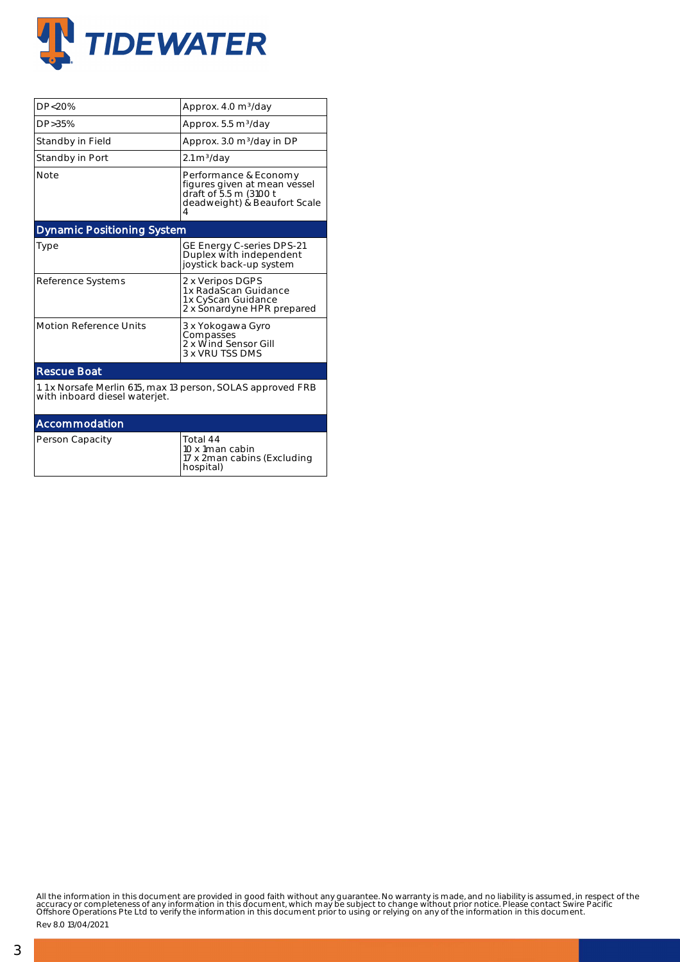

| DP<20%                                                                                       | Approx. 4.0 m <sup>3</sup> /day                                                                                      |  |  |  |  |  |
|----------------------------------------------------------------------------------------------|----------------------------------------------------------------------------------------------------------------------|--|--|--|--|--|
| DP > 35%                                                                                     | Approx. 5.5 m <sup>3</sup> /day                                                                                      |  |  |  |  |  |
| Standby in Field                                                                             | Approx. 3.0 m <sup>3</sup> /day in DP                                                                                |  |  |  |  |  |
| Standby in Port                                                                              | $2.1 \text{ m}^3/\text{day}$                                                                                         |  |  |  |  |  |
| <b>Note</b>                                                                                  | Performance & Economy<br>figures given at mean vessel<br>draft of 5.5 m (3100 t<br>deadweight) & Beaufort Scale<br>4 |  |  |  |  |  |
| <b>Dynamic Positioning System</b>                                                            |                                                                                                                      |  |  |  |  |  |
| Type                                                                                         | GE Energy C-series DPS-21<br>Duplex with independent<br>joystick back-up system                                      |  |  |  |  |  |
| Reference Systems                                                                            | 2 x Veripos DGPS<br>1 x RadaScan Guidance<br>1 x CyScan Guidance<br>2 x Sonardyne HPR prepared                       |  |  |  |  |  |
| <b>Motion Reference Units</b>                                                                | 3 x Yokogawa Gyro<br>Compasses<br>2 x Wind Sensor Gill<br>3 x VRU TSS DMS                                            |  |  |  |  |  |
| <b>Rescue Boat</b>                                                                           |                                                                                                                      |  |  |  |  |  |
| 1.1 x Norsafe Merlin 615, max 13 person, SOLAS approved FRB<br>with inboard diesel waterjet. |                                                                                                                      |  |  |  |  |  |
| Accommodation                                                                                |                                                                                                                      |  |  |  |  |  |
| Person Capacity                                                                              | Total 44<br>10 x 1man cabin<br>17 x 2man cabins (Excluding<br>hospital)                                              |  |  |  |  |  |

All the information in this document are provided in good faith without any guarantee. No warranty is made, and no liability is assumed, in respect of the<br>accuracy or completeness of any information in this document, which